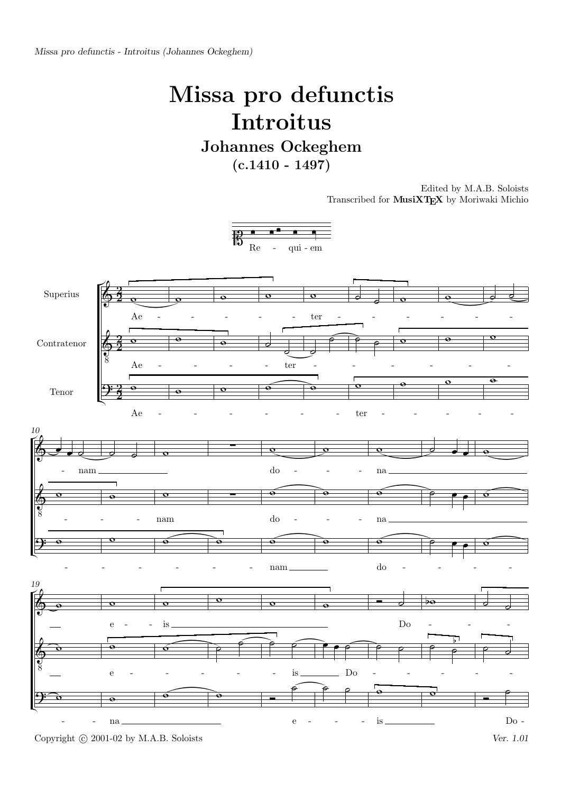## Missa pro defunctis Introitus

Johannes Ockeghem  $(c.1410 - 1497)$ 

> Edited by M.A.B. Soloists Transcribed for MusiXTEX by Moriwaki Michio



Copyright © 2001-02 by M.A.B. Soloists Ver. 1.01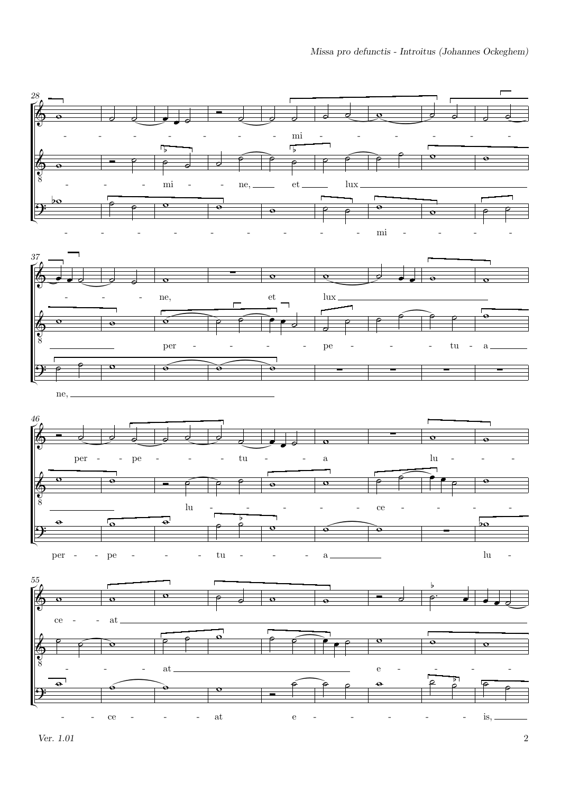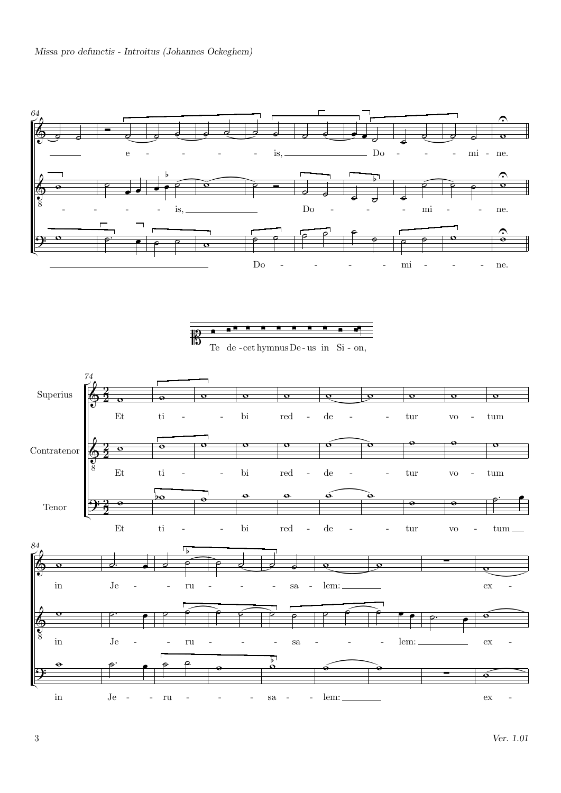